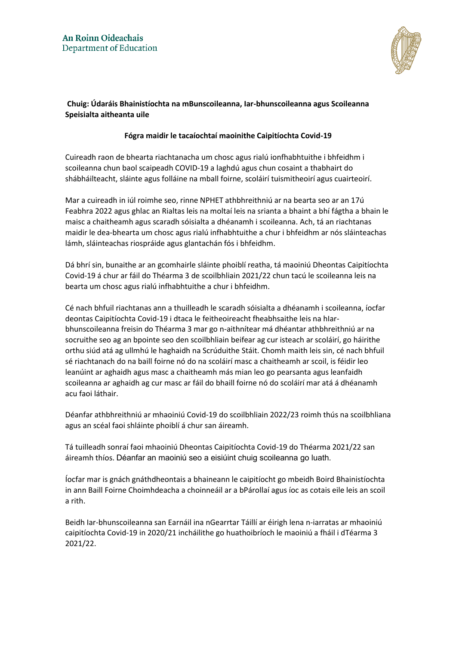

## **Chuig: Údaráis Bhainistíochta na mBunscoileanna, Iar-bhunscoileanna agus Scoileanna Speisialta aitheanta uile**

## **Fógra maidir le tacaíochtaí maoinithe Caipitíochta Covid-19**

Cuireadh raon de bhearta riachtanacha um chosc agus rialú ionfhabhtuithe i bhfeidhm i scoileanna chun baol scaipeadh COVID-19 a laghdú agus chun cosaint a thabhairt do shábháilteacht, sláinte agus folláine na mball foirne, scoláirí tuismitheoirí agus cuairteoirí.

Mar a cuireadh in iúl roimhe seo, rinne NPHET athbhreithniú ar na bearta seo ar an 17ú Feabhra 2022 agus ghlac an Rialtas leis na moltaí leis na srianta a bhaint a bhí fágtha a bhain le maisc a chaitheamh agus scaradh sóisialta a dhéanamh i scoileanna. Ach, tá an riachtanas maidir le dea-bhearta um chosc agus rialú infhabhtuithe a chur i bhfeidhm ar nós sláinteachas lámh, sláinteachas riospráide agus glantachán fós i bhfeidhm.

Dá bhrí sin, bunaithe ar an gcomhairle sláinte phoiblí reatha, tá maoiniú Dheontas Caipitíochta Covid-19 á chur ar fáil do Théarma 3 de scoilbhliain 2021/22 chun tacú le scoileanna leis na bearta um chosc agus rialú infhabhtuithe a chur i bhfeidhm.

Cé nach bhfuil riachtanas ann a thuilleadh le scaradh sóisialta a dhéanamh i scoileanna, íocfar deontas Caipitíochta Covid-19 i dtaca le feitheoireacht fheabhsaithe leis na hIarbhunscoileanna freisin do Théarma 3 mar go n-aithnítear má dhéantar athbhreithniú ar na socruithe seo ag an bpointe seo den scoilbhliain beifear ag cur isteach ar scoláirí, go háirithe orthu siúd atá ag ullmhú le haghaidh na Scrúduithe Stáit. Chomh maith leis sin, cé nach bhfuil sé riachtanach do na baill foirne nó do na scoláirí masc a chaitheamh ar scoil, is féidir leo leanúint ar aghaidh agus masc a chaitheamh más mian leo go pearsanta agus leanfaidh scoileanna ar aghaidh ag cur masc ar fáil do bhaill foirne nó do scoláirí mar atá á dhéanamh acu faoi láthair.

Déanfar athbhreithniú ar mhaoiniú Covid-19 do scoilbhliain 2022/23 roimh thús na scoilbhliana agus an scéal faoi shláinte phoiblí á chur san áireamh.

Tá tuilleadh sonraí faoi mhaoiniú Dheontas Caipitíochta Covid-19 do Théarma 2021/22 san áireamh thíos. Déanfar an maoiniú seo a eisiúint chuig scoileanna go luath.

Íocfar mar is gnách gnáthdheontais a bhaineann le caipitíocht go mbeidh Boird Bhainistíochta in ann Baill Foirne Choimhdeacha a choinneáil ar a bPárollaí agus íoc as cotais eile leis an scoil a rith.

Beidh Iar-bhunscoileanna san Earnáil ina nGearrtar Táillí ar éirigh lena n-iarratas ar mhaoiniú caipitíochta Covid-19 in 2020/21 incháilithe go huathoibríoch le maoiniú a fháil i dTéarma 3 2021/22.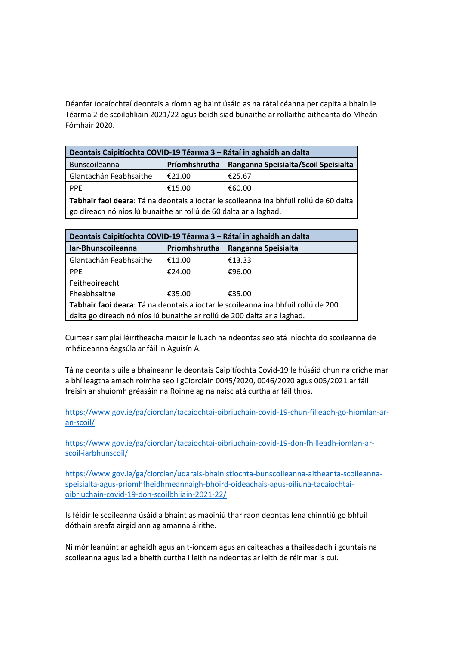Déanfar íocaíochtaí deontais a ríomh ag baint úsáid as na rátaí céanna per capita a bhain le Téarma 2 de scoilbhliain 2021/22 agus beidh siad bunaithe ar rollaithe aitheanta do Mheán Fómhair 2020.

| Deontais Caipitíochta COVID-19 Téarma 3 – Rátaí in aghaidh an dalta |               |                                      |  |
|---------------------------------------------------------------------|---------------|--------------------------------------|--|
| <b>Bunscoileanna</b>                                                | Príomhshrutha | Ranganna Speisialta/Scoil Speisialta |  |
| Glantachán Feabhsaithe                                              | €21.00        | €25.67                               |  |
| <b>PPF</b>                                                          | €15.00        | €60.00                               |  |
|                                                                     |               |                                      |  |

**Tabhair faoi deara**: Tá na deontais a íoctar le scoileanna ina bhfuil rollú de 60 dalta go díreach nó níos lú bunaithe ar rollú de 60 dalta ar a laghad.

| Deontais Caipitíochta COVID-19 Téarma 3 – Rátaí in aghaidh an dalta               |               |                     |  |
|-----------------------------------------------------------------------------------|---------------|---------------------|--|
| Iar-Bhunscoileanna                                                                | Príomhshrutha | Ranganna Speisialta |  |
| Glantachán Feabhsaithe                                                            | €11.00        | €13.33              |  |
| <b>PPE</b>                                                                        | €24.00        | €96.00              |  |
| Feitheoireacht                                                                    |               |                     |  |
| Fheabhsaithe                                                                      | €35.00        | €35.00              |  |
| Tabhair faoi deara: Tá na deontais a íoctar le scoileanna ina bhfuil rollú de 200 |               |                     |  |
| dalta go díreach nó níos lú bunaithe ar rollú de 200 dalta ar a laghad.           |               |                     |  |

Cuirtear samplaí léiritheacha maidir le luach na ndeontas seo atá iníochta do scoileanna de mhéideanna éagsúla ar fáil in Aguisín A.

Tá na deontais uile a bhaineann le deontais Caipitíochta Covid-19 le húsáid chun na críche mar a bhí leagtha amach roimhe seo i gCiorcláin 0045/2020, 0046/2020 agus 005/2021 ar fáil freisin ar shuíomh gréasáin na Roinne ag na naisc atá curtha ar fáil thíos.

[https://www.gov.ie/ga/ciorclan/tacaiochtai-oibriuchain-covid-19-chun-filleadh-go-hiomlan-ar](https://www.gov.ie/ga/ciorclan/tacaiochtai-oibriuchain-covid-19-chun-filleadh-go-hiomlan-ar-an-scoil/)[an-scoil/](https://www.gov.ie/ga/ciorclan/tacaiochtai-oibriuchain-covid-19-chun-filleadh-go-hiomlan-ar-an-scoil/)

[https://www.gov.ie/ga/ciorclan/tacaiochtai-oibriuchain-covid-19-don-fhilleadh-iomlan-ar](https://www.gov.ie/ga/ciorclan/tacaiochtai-oibriuchain-covid-19-don-fhilleadh-iomlan-ar-scoil-iarbhunscoil/)[scoil-iarbhunscoil/](https://www.gov.ie/ga/ciorclan/tacaiochtai-oibriuchain-covid-19-don-fhilleadh-iomlan-ar-scoil-iarbhunscoil/)

[https://www.gov.ie/ga/ciorclan/udarais-bhainistiochta-bunscoileanna-aitheanta-scoileanna](https://www.gov.ie/ga/ciorclan/udarais-bhainistiochta-bunscoileanna-aitheanta-scoileanna-speisialta-agus-priomhfheidhmeannaigh-bhoird-oideachais-agus-oiliuna-tacaiochtai-oibriuchain-covid-19-don-scoilbhliain-2021-22/)[speisialta-agus-priomhfheidhmeannaigh-bhoird-oideachais-agus-oiliuna-tacaiochtai](https://www.gov.ie/ga/ciorclan/udarais-bhainistiochta-bunscoileanna-aitheanta-scoileanna-speisialta-agus-priomhfheidhmeannaigh-bhoird-oideachais-agus-oiliuna-tacaiochtai-oibriuchain-covid-19-don-scoilbhliain-2021-22/)[oibriuchain-covid-19-don-scoilbhliain-2021-22/](https://www.gov.ie/ga/ciorclan/udarais-bhainistiochta-bunscoileanna-aitheanta-scoileanna-speisialta-agus-priomhfheidhmeannaigh-bhoird-oideachais-agus-oiliuna-tacaiochtai-oibriuchain-covid-19-don-scoilbhliain-2021-22/)

Is féidir le scoileanna úsáid a bhaint as maoiniú thar raon deontas lena chinntiú go bhfuil dóthain sreafa airgid ann ag amanna áirithe.

Ní mór leanúint ar aghaidh agus an t-ioncam agus an caiteachas a thaifeadadh i gcuntais na scoileanna agus iad a bheith curtha i leith na ndeontas ar leith de réir mar is cuí.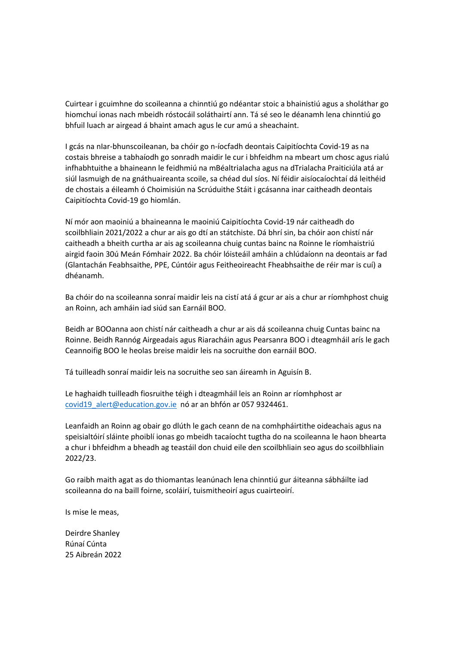Cuirtear i gcuimhne do scoileanna a chinntiú go ndéantar stoic a bhainistiú agus a sholáthar go hiomchuí ionas nach mbeidh róstocáil soláthairtí ann. Tá sé seo le déanamh lena chinntiú go bhfuil luach ar airgead á bhaint amach agus le cur amú a sheachaint.

I gcás na nIar-bhunscoileanan, ba chóir go n-íocfadh deontais Caipitíochta Covid-19 as na costais bhreise a tabhaíodh go sonradh maidir le cur i bhfeidhm na mbeart um chosc agus rialú infhabhtuithe a bhaineann le feidhmiú na mBéaltrialacha agus na dTrialacha Praiticiúla atá ar siúl lasmuigh de na gnáthuaireanta scoile, sa chéad dul síos. Ní féidir aisíocaíochtaí dá leithéid de chostais a éileamh ó Choimisiún na Scrúduithe Stáit i gcásanna inar caitheadh deontais Caipitíochta Covid-19 go hiomlán.

Ní mór aon maoiniú a bhaineanna le maoiniú Caipitíochta Covid-19 nár caitheadh do scoilbhliain 2021/2022 a chur ar ais go dtí an státchiste. Dá bhrí sin, ba chóir aon chistí nár caitheadh a bheith curtha ar ais ag scoileanna chuig cuntas bainc na Roinne le ríomhaistriú airgid faoin 30ú Meán Fómhair 2022. Ba chóir lóisteáil amháin a chlúdaíonn na deontais ar fad (Glantachán Feabhsaithe, PPE, Cúntóir agus Feitheoireacht Fheabhsaithe de réir mar is cuí) a dhéanamh.

Ba chóir do na scoileanna sonraí maidir leis na cistí atá á gcur ar ais a chur ar ríomhphost chuig an Roinn, ach amháin iad siúd san Earnáil BOO.

Beidh ar BOOanna aon chistí nár caitheadh a chur ar ais dá scoileanna chuig Cuntas bainc na Roinne. Beidh Rannóg Airgeadais agus Riaracháin agus Pearsanra BOO i dteagmháil arís le gach Ceannoifig BOO le heolas breise maidir leis na socruithe don earnáil BOO.

Tá tuilleadh sonraí maidir leis na socruithe seo san áireamh in Aguisín B.

Le haghaidh tuilleadh fiosruithe téigh i dteagmháil leis an Roinn ar ríomhphost ar covid19 alert@education.gov.ie nó ar an bhfón ar 057 9324461.

Leanfaidh an Roinn ag obair go dlúth le gach ceann de na comhpháirtithe oideachais agus na speisialtóirí sláinte phoiblí ionas go mbeidh tacaíocht tugtha do na scoileanna le haon bhearta a chur i bhfeidhm a bheadh ag teastáil don chuid eile den scoilbhliain seo agus do scoilbhliain 2022/23.

Go raibh maith agat as do thiomantas leanúnach lena chinntiú gur áiteanna sábháilte iad scoileanna do na baill foirne, scoláirí, tuismitheoirí agus cuairteoirí.

Is mise le meas,

Deirdre Shanley Rúnaí Cúnta 25 Aibreán 2022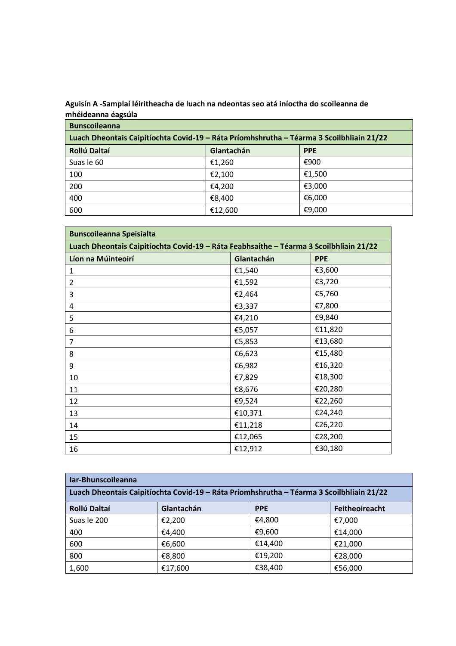## **Aguisín A -Samplaí léiritheacha de luach na ndeontas seo atá iníoctha do scoileanna de mhéideanna éagsúla**

| <b>Bunscoileanna</b>                                                                     |            |            |  |
|------------------------------------------------------------------------------------------|------------|------------|--|
| Luach Dheontais Caipitíochta Covid-19 - Ráta Príomhshrutha - Téarma 3 Scoilbhliain 21/22 |            |            |  |
| <b>Rollú Daltaí</b>                                                                      | Glantachán | <b>PPE</b> |  |
| Suas le 60                                                                               | €1,260     | €900       |  |
| 100                                                                                      | €2,100     | €1,500     |  |
| 200                                                                                      | €4,200     | €3,000     |  |
| 400                                                                                      | €8,400     | €6,000     |  |
| 600                                                                                      | €12,600    | €9,000     |  |

| <b>Bunscoileanna Speisialta</b>                                                        |            |            |  |
|----------------------------------------------------------------------------------------|------------|------------|--|
| Luach Dheontais Caipitíochta Covid-19 - Ráta Feabhsaithe - Téarma 3 Scoilbhliain 21/22 |            |            |  |
| Líon na Múinteoirí                                                                     | Glantachán | <b>PPE</b> |  |
| 1                                                                                      | €1,540     | €3,600     |  |
| $\overline{2}$                                                                         | €1,592     | €3,720     |  |
| 3                                                                                      | €2,464     | €5,760     |  |
| 4                                                                                      | €3,337     | €7,800     |  |
| 5                                                                                      | €4,210     | €9,840     |  |
| 6                                                                                      | €5,057     | €11,820    |  |
| 7                                                                                      | €5,853     | €13,680    |  |
| 8                                                                                      | €6,623     | €15,480    |  |
| 9                                                                                      | €6,982     | €16,320    |  |
| 10                                                                                     | €7,829     | €18,300    |  |
| 11                                                                                     | €8,676     | €20,280    |  |
| 12                                                                                     | €9,524     | €22,260    |  |
| 13                                                                                     | €10,371    | €24,240    |  |
| 14                                                                                     | €11,218    | €26,220    |  |
| 15                                                                                     | €12,065    | €28,200    |  |
| 16                                                                                     | €12,912    | €30,180    |  |

| Iar-Bhunscoileanna                                                                       |            |            |                |
|------------------------------------------------------------------------------------------|------------|------------|----------------|
| Luach Dheontais Caipitíochta Covid-19 - Ráta Príomhshrutha - Téarma 3 Scoilbhliain 21/22 |            |            |                |
| Rollú Daltaí                                                                             | Glantachán | <b>PPE</b> | Feitheoireacht |
| Suas le 200                                                                              | €2,200     | €4,800     | €7,000         |
| 400                                                                                      | €4,400     | €9,600     | €14,000        |
| 600                                                                                      | €6,600     | €14,400    | €21,000        |
| 800                                                                                      | €8,800     | €19,200    | €28,000        |
| 1,600                                                                                    | €17,600    | €38,400    | €56,000        |